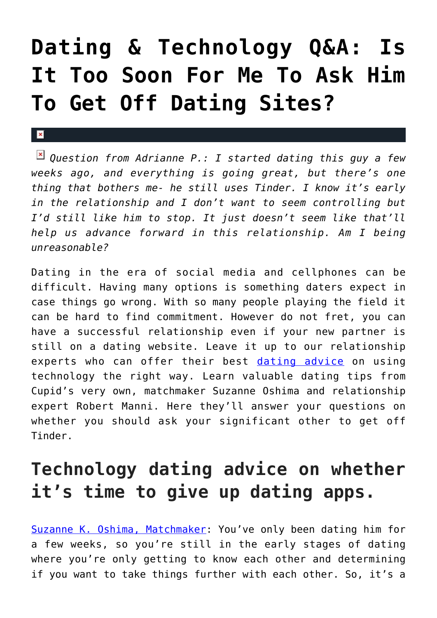## **[Dating & Technology Q&A: Is](https://cupidspulse.com/120504/dating-technology-qa-too-soon-off-dating-sites/) [It Too Soon For Me To Ask Him](https://cupidspulse.com/120504/dating-technology-qa-too-soon-off-dating-sites/) [To Get Off Dating Sites?](https://cupidspulse.com/120504/dating-technology-qa-too-soon-off-dating-sites/)**

 $\mathbf{R}$ 

*Question from Adrianne P.: I started dating this guy a few weeks ago, and everything is going great, but there's one thing that bothers me- he still uses Tinder. I know it's early in the relationship and I don't want to seem controlling but I'd still like him to stop. It just doesn't seem like that'll help us advance forward in this relationship. Am I being unreasonable?*

Dating in the era of social media and cellphones can be difficult. Having many options is something daters expect in case things go wrong. With so many people playing the field it can be hard to find commitment. However do not fret, you can have a successful relationship even if your new partner is still on a dating website. Leave it up to our relationship experts who can offer their best [dating advice](http://cupidspulse.com/videos/dating-advice-videos/) on using technology the right way. Learn valuable dating tips from Cupid's very own, matchmaker Suzanne Oshima and relationship expert Robert Manni. Here they'll answer your questions on whether you should ask your significant other to get off Tinder.

## **Technology dating advice on whether it's time to give up dating apps.**

[Suzanne K. Oshima, Matchmaker:](http://www.dreambachelor.com/) You've only been dating him for a few weeks, so you're still in the early stages of dating where you're only getting to know each other and determining if you want to take things further with each other. So, it's a